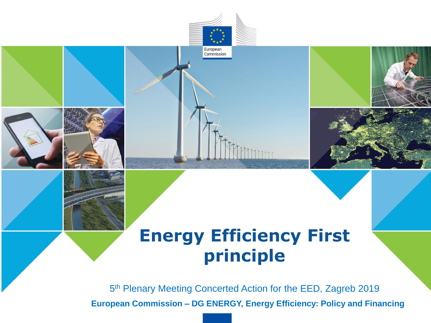

## **Energy Efficiency First principle**

5 th Plenary Meeting Concerted Action for the EED, Zagreb 2019

**European Commission – DG ENERGY, Energy Efficiency: Policy and Financing**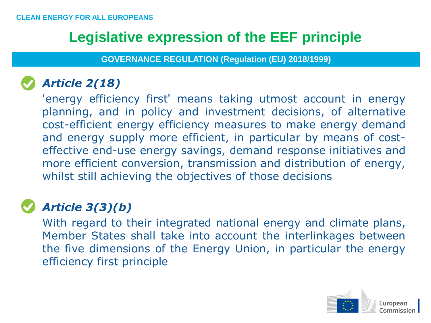## **Legislative expression of the EEF principle**

**GOVERNANCE REGULATION (Regulation (EU) 2018/1999)**

### • *Article 2(18)*

'energy efficiency first' means taking utmost account in energy planning, and in policy and investment decisions, of alternative cost-efficient energy efficiency measures to make energy demand and energy supply more efficient, in particular by means of costeffective end-use energy savings, demand response initiatives and more efficient conversion, transmission and distribution of energy, whilst still achieving the objectives of those decisions

### • *Article 3(3)(b)*

With regard to their integrated national energy and climate plans, Member States shall take into account the interlinkages between the five dimensions of the Energy Union, in particular the energy efficiency first principle

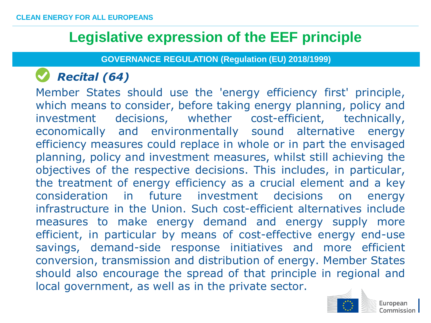## **Legislative expression of the EEF principle**

**GOVERNANCE REGULATION (Regulation (EU) 2018/1999)**

## • *Recital (64)*

• Member States should use the 'energy efficiency first' principle, which means to consider, before taking energy planning, policy and investment decisions, whether cost-efficient, technically, economically and environmentally sound alternative energy efficiency measures could replace in whole or in part the envisaged planning, policy and investment measures, whilst still achieving the objectives of the respective decisions. This includes, in particular, the treatment of energy efficiency as a crucial element and a key consideration in future investment decisions on energy infrastructure in the Union. Such cost-efficient alternatives include measures to make energy demand and energy supply more efficient, in particular by means of cost-effective energy end-use savings, demand-side response initiatives and more efficient conversion, transmission and distribution of energy. Member States should also encourage the spread of that principle in regional and local government, as well as in the private sector.

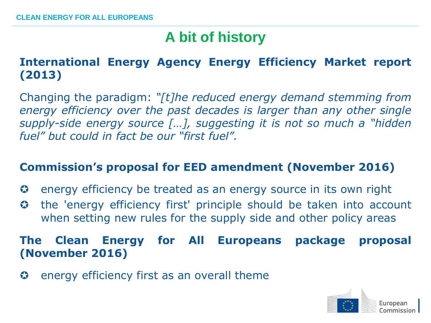## **A bit of history**

#### **International Energy Agency Energy Efficiency Market report (2013)**

Changing the paradigm: *"[t]he reduced energy demand stemming from energy efficiency over the past decades is larger than any other single supply-side energy source […], suggesting it is not so much a "hidden fuel" but could in fact be our "first fuel".*

#### **Commission's proposal for EED amendment (November 2016)**

- $\odot$  energy efficiency be treated as an energy source in its own right
- the 'energy efficiency first' principle should be taken into account when setting new rules for the supply side and other policy areas

#### **The Clean Energy for All Europeans package proposal (November 2016)**

 $\bullet$  energy efficiency first as an overall theme

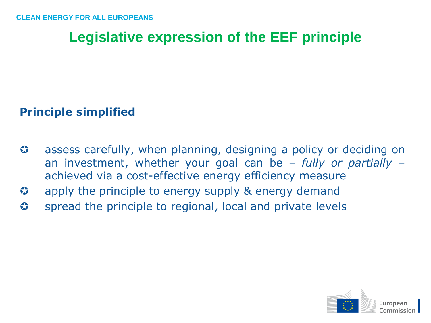## **Legislative expression of the EEF principle**

#### **Principle simplified**

- $\odot$  assess carefully, when planning, designing a policy or deciding on an investment, whether your goal can be *– fully or partially –* achieved via a cost-effective energy efficiency measure
- **3** apply the principle to energy supply & energy demand
- S spread the principle to regional, local and private levels

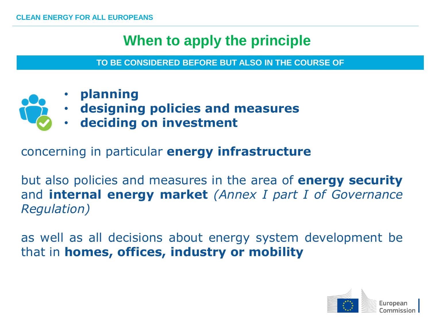## **When to apply the principle**

**TO BE CONSIDERED BEFORE BUT ALSO IN THE COURSE OF**

- **planning**
- **designing policies and measures**
- **deciding on investment**

concerning in particular **energy infrastructure**

but also policies and measures in the area of **energy security** and **internal energy market** *(Annex I part I of Governance Regulation)*

as well as all decisions about energy system development be that in **homes, offices, industry or mobility**

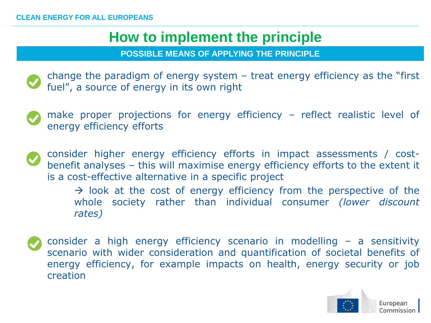## **How to implement the principle**

**POSSIBLE MEANS OF APPLYING THE PRINCIPLE**





• consider higher energy efficiency efforts in impact assessments / costbenefit analyses – this will maximise energy efficiency efforts to the extent it is a cost-effective alternative in a specific project

> $\rightarrow$  look at the cost of energy efficiency from the perspective of the whole society rather than individual consumer *(lower discount rates)*

• consider a high energy efficiency scenario in modelling – a sensitivity scenario with wider consideration and quantification of societal benefits of energy efficiency, for example impacts on health, energy security or job creation

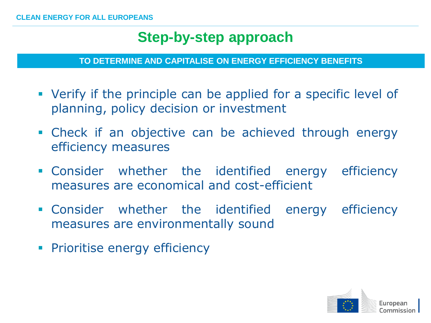## **Step-by-step approach**

**TO DETERMINE AND CAPITALISE ON ENERGY EFFICIENCY BENEFITS**

- Verify if the principle can be applied for a specific level of planning, policy decision or investment
- Check if an objective can be achieved through energy efficiency measures
- Consider whether the identified energy efficiency measures are economical and cost-efficient
- Consider whether the identified energy efficiency measures are environmentally sound
- **Prioritise energy efficiency**

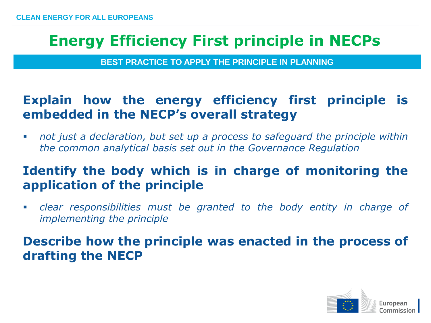**BEST PRACTICE TO APPLY THE PRINCIPLE IN PLANNING**

#### **Explain how the energy efficiency first principle is embedded in the NECP's overall strategy**

 *not just a declaration, but set up a process to safeguard the principle within the common analytical basis set out in the Governance Regulation*

#### **Identify the body which is in charge of monitoring the application of the principle**

 *clear responsibilities must be granted to the body entity in charge of implementing the principle*

**Describe how the principle was enacted in the process of drafting the NECP**

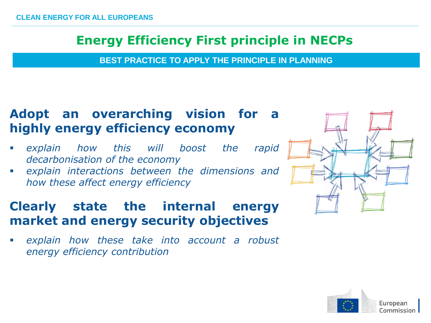**BEST PRACTICE TO APPLY THE PRINCIPLE IN PLANNING**

#### **Adopt an overarching vision for a highly energy efficiency economy**

- *explain how this will boost the rapid decarbonisation of the economy*
- *explain interactions between the dimensions and how these affect energy efficiency*

#### **Clearly state the internal energy market and energy security objectives**

 *explain how these take into account a robust energy efficiency contribution*





European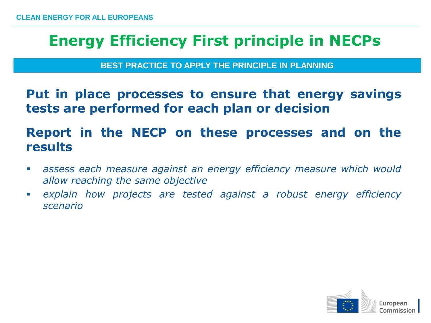**BEST PRACTICE TO APPLY THE PRINCIPLE IN PLANNING**

**Put in place processes to ensure that energy savings tests are performed for each plan or decision**

#### **Report in the NECP on these processes and on the results**

- *assess each measure against an energy efficiency measure which would allow reaching the same objective*
- *explain how projects are tested against a robust energy efficiency scenario*

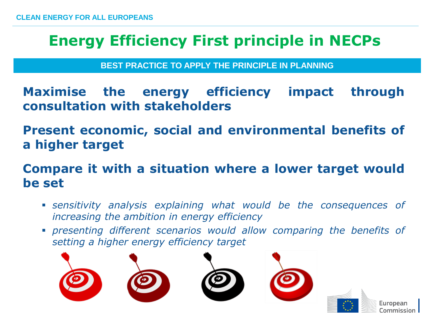**BEST PRACTICE TO APPLY THE PRINCIPLE IN PLANNING**

**Maximise the energy efficiency impact through consultation with stakeholders**

**Present economic, social and environmental benefits of a higher target**

**Compare it with a situation where a lower target would be set**

- *sensitivity analysis explaining what would be the consequences of increasing the ambition in energy efficiency*
- *presenting different scenarios would allow comparing the benefits of setting a higher energy efficiency target*

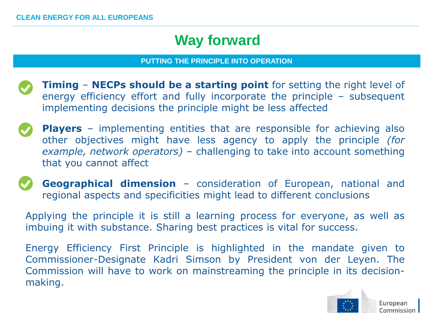## **Way forward**

#### **PUTTING THE PRINCIPLE INTO OPERATION**

- **Timing NECPs should be a starting point** for setting the right level of energy efficiency effort and fully incorporate the principle – subsequent implementing decisions the principle might be less affected
- **Players** implementing entities that are responsible for achieving also other objectives might have less agency to apply the principle *(for example, network operators)* – challenging to take into account something that you cannot affect
- 

**Geographical dimension** – consideration of European, national and regional aspects and specificities might lead to different conclusions

Applying the principle it is still a learning process for everyone, as well as imbuing it with substance. Sharing best practices is vital for success.

Energy Efficiency First Principle is highlighted in the mandate given to Commissioner-Designate Kadri Simson by President von der Leyen. The Commission will have to work on mainstreaming the principle in its decisionmaking.

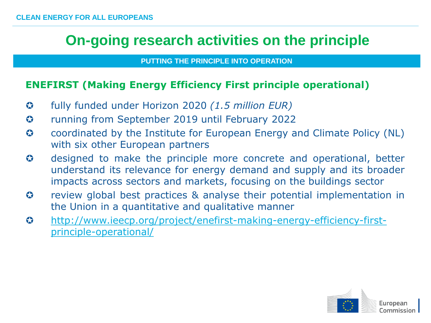### **On-going research activities on the principle**

#### **PUTTING THE PRINCIPLE INTO OPERATION**

#### **ENEFIRST (Making Energy Efficiency First principle operational)**

- fully funded under Horizon 2020 *(1.5 million EUR)*
- running from September 2019 until February 2022
- $\odot$  coordinated by the Institute for European Energy and Climate Policy (NL) with six other European partners
- $\odot$  designed to make the principle more concrete and operational, better understand its relevance for energy demand and supply and its broader impacts across sectors and markets, focusing on the buildings sector
- $\odot$  review global best practices & analyse their potential implementation in the Union in a quantitative and qualitative manner
- [http://www.ieecp.org/project/enefirst-making-energy-efficiency-first](http://www.ieecp.org/project/enefirst-making-energy-efficiency-first-principle-operational/)principle-operational/

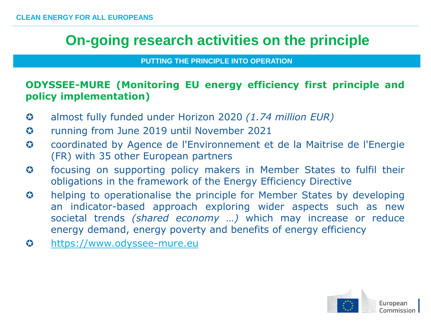## **On-going research activities on the principle**

**PUTTING THE PRINCIPLE INTO OPERATION**

#### **ODYSSEE-MURE (Monitoring EU energy efficiency first principle and policy implementation)**

- almost fully funded under Horizon 2020 *(1.74 million EUR)*
- $\odot$  running from June 2019 until November 2021
- coordinated by Agence de l'Environnement et de la Maitrise de l'Energie (FR) with 35 other European partners
- focusing on supporting policy makers in Member States to fulfil their obligations in the framework of the Energy Efficiency Directive
- **3** helping to operationalise the principle for Member States by developing an indicator-based approach exploring wider aspects such as new societal trends *(shared economy …)* which may increase or reduce energy demand, energy poverty and benefits of energy efficiency
- [https://www.odyssee-mure.eu](https://www.odyssee-mure.eu/)

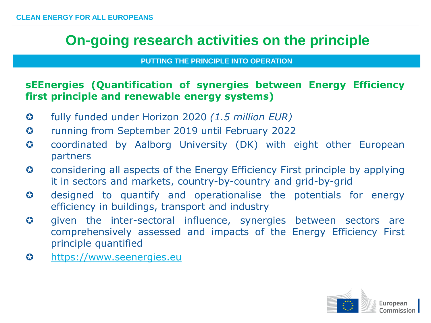## **On-going research activities on the principle**

#### **PUTTING THE PRINCIPLE INTO OPERATION**

#### **sEEnergies (Quantification of synergies between Energy Efficiency first principle and renewable energy systems)**

- fully funded under Horizon 2020 *(1.5 million EUR)*
- running from September 2019 until February 2022
- coordinated by Aalborg University (DK) with eight other European partners
- **C** considering all aspects of the Energy Efficiency First principle by applying it in sectors and markets, country-by-country and grid-by-grid
- designed to quantify and operationalise the potentials for energy efficiency in buildings, transport and industry
- $\odot$  given the inter-sectoral influence, synergies between sectors are comprehensively assessed and impacts of the Energy Efficiency First principle quantified
- [https://www.seenergies.eu](https://www.seenergies.eu/)

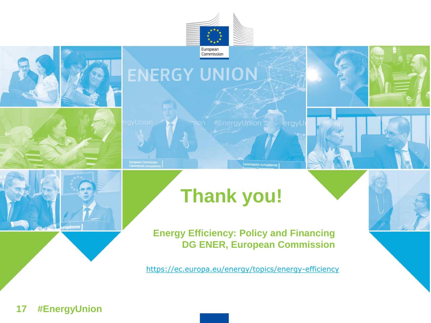

Commission



<https://ec.europa.eu/energy/topics/energy-efficiency>

#### **17 #EnergyUnion**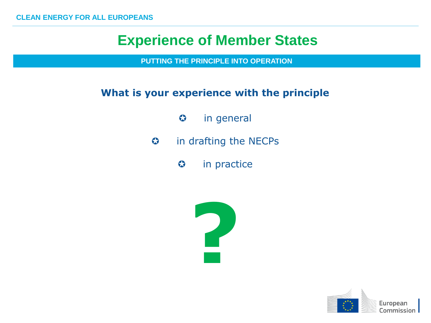### **Experience of Member States**

**PUTTING THE PRINCIPLE INTO OPERATION**

#### **What is your experience with the principle**

- $\odot$  in general
- in drafting the NECPs
	- **3** in practice



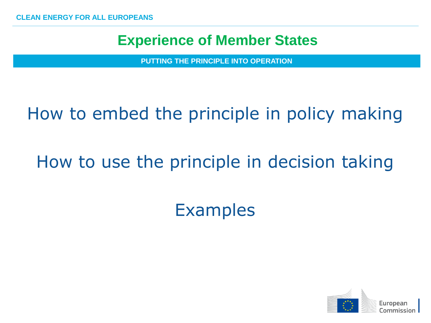### **Experience of Member States**

**PUTTING THE PRINCIPLE INTO OPERATION**

# How to embed the principle in policy making

# How to use the principle in decision taking

# Examples